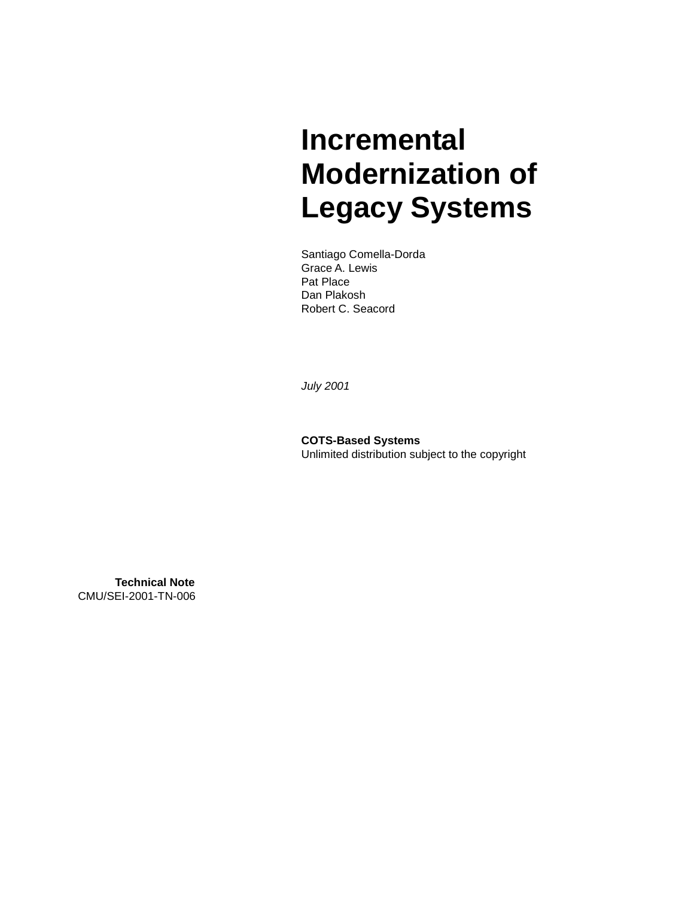# **Incremental Modernization of Legacy Systems**

Santiago Comella-Dorda Grace A. Lewis Pat Place Dan Plakosh Robert C. Seacord

*July 2001*

**COTS-Based Systems**

Unlimited distribution subject to the copyright

**Technical Note** CMU/SEI-2001-TN-006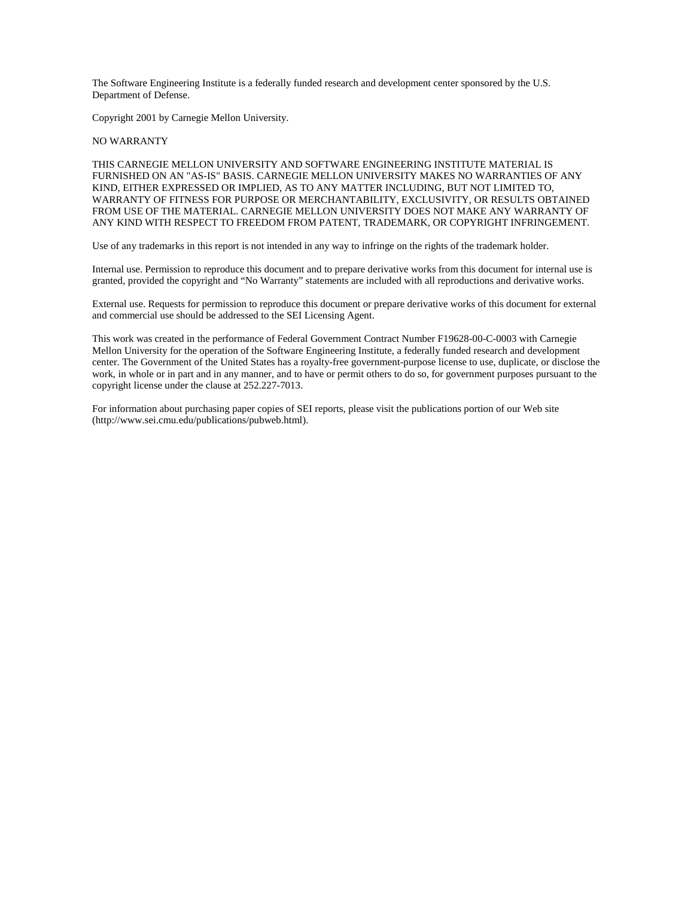The Software Engineering Institute is a federally funded research and development center sponsored by the U.S. Department of Defense.

Copyright 2001 by Carnegie Mellon University.

#### NO WARRANTY

THIS CARNEGIE MELLON UNIVERSITY AND SOFTWARE ENGINEERING INSTITUTE MATERIAL IS FURNISHED ON AN "AS-IS" BASIS. CARNEGIE MELLON UNIVERSITY MAKES NO WARRANTIES OF ANY KIND, EITHER EXPRESSED OR IMPLIED, AS TO ANY MATTER INCLUDING, BUT NOT LIMITED TO, WARRANTY OF FITNESS FOR PURPOSE OR MERCHANTABILITY, EXCLUSIVITY, OR RESULTS OBTAINED FROM USE OF THE MATERIAL. CARNEGIE MELLON UNIVERSITY DOES NOT MAKE ANY WARRANTY OF ANY KIND WITH RESPECT TO FREEDOM FROM PATENT, TRADEMARK, OR COPYRIGHT INFRINGEMENT.

Use of any trademarks in this report is not intended in any way to infringe on the rights of the trademark holder.

Internal use. Permission to reproduce this document and to prepare derivative works from this document for internal use is granted, provided the copyright and "No Warranty" statements are included with all reproductions and derivative works.

External use. Requests for permission to reproduce this document or prepare derivative works of this document for external and commercial use should be addressed to the SEI Licensing Agent.

This work was created in the performance of Federal Government Contract Number F19628-00-C-0003 with Carnegie Mellon University for the operation of the Software Engineering Institute, a federally funded research and development center. The Government of the United States has a royalty-free government-purpose license to use, duplicate, or disclose the work, in whole or in part and in any manner, and to have or permit others to do so, for government purposes pursuant to the copyright license under the clause at 252.227-7013.

For information about purchasing paper copies of SEI reports, please visit the publications portion of our Web site (http://www.sei.cmu.edu/publications/pubweb.html).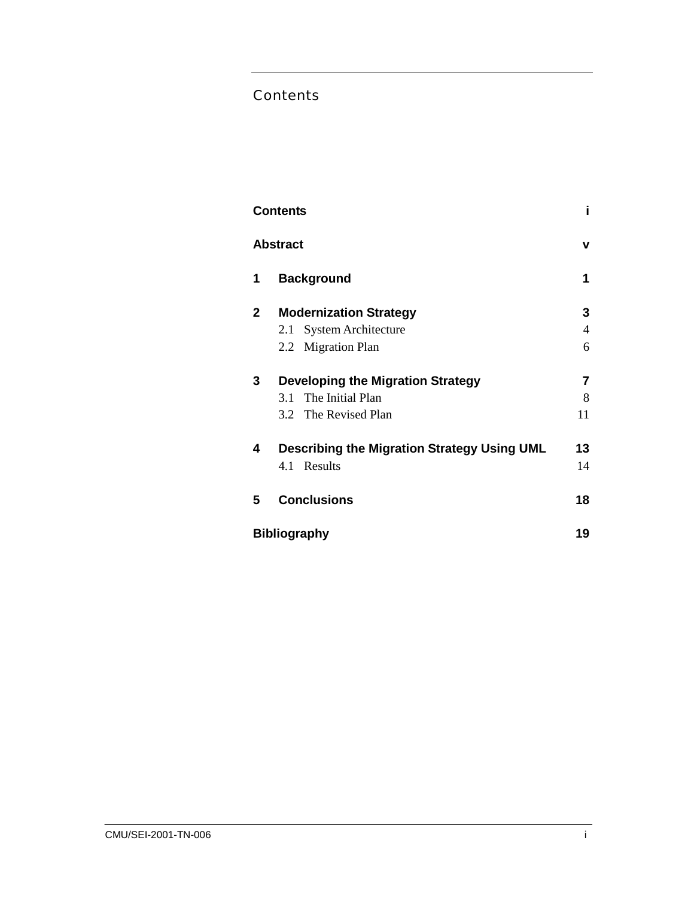### **Contents**

| i<br><b>Contents</b> |                                                    |    |  |  |  |
|----------------------|----------------------------------------------------|----|--|--|--|
|                      | <b>Abstract</b>                                    | v  |  |  |  |
| 1                    | <b>Background</b>                                  | 1  |  |  |  |
| $\mathbf{2}$         | <b>Modernization Strategy</b>                      | 3  |  |  |  |
|                      | 2.1 System Architecture                            | 4  |  |  |  |
|                      | 2.2 Migration Plan                                 | 6  |  |  |  |
| 3                    | <b>Developing the Migration Strategy</b>           | 7  |  |  |  |
|                      | 3.1 The Initial Plan                               | 8  |  |  |  |
|                      | 3.2 The Revised Plan                               | 11 |  |  |  |
| 4                    | <b>Describing the Migration Strategy Using UML</b> | 13 |  |  |  |
|                      | 4.1 Results                                        | 14 |  |  |  |
| 5                    | <b>Conclusions</b>                                 |    |  |  |  |
| <b>Bibliography</b>  |                                                    |    |  |  |  |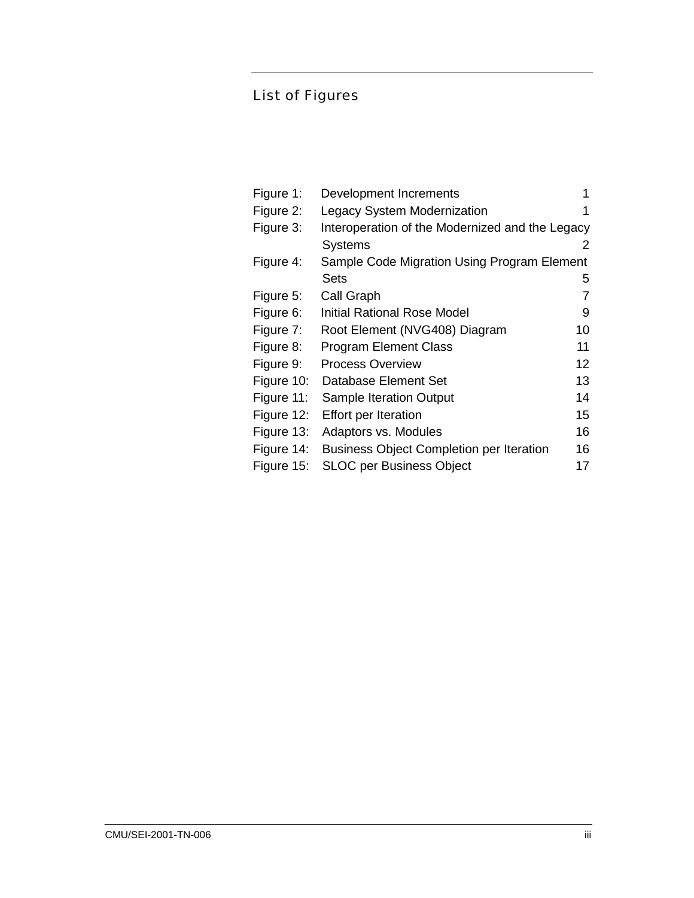## List of Figures

| Figure 1:  | Development Increments                          | 1  |  |  |
|------------|-------------------------------------------------|----|--|--|
| Figure 2:  | <b>Legacy System Modernization</b>              | 1  |  |  |
| Figure 3:  | Interoperation of the Modernized and the Legacy |    |  |  |
|            | <b>Systems</b>                                  | 2  |  |  |
| Figure 4:  | Sample Code Migration Using Program Element     |    |  |  |
|            | Sets                                            | 5  |  |  |
| Figure 5:  | Call Graph                                      | 7  |  |  |
| Figure 6:  | Initial Rational Rose Model                     | 9  |  |  |
| Figure 7:  | Root Element (NVG408) Diagram                   | 10 |  |  |
| Figure 8:  | <b>Program Element Class</b>                    | 11 |  |  |
| Figure 9:  | <b>Process Overview</b>                         | 12 |  |  |
| Figure 10: | Database Element Set                            | 13 |  |  |
| Figure 11: | <b>Sample Iteration Output</b>                  | 14 |  |  |
| Figure 12: | <b>Effort per Iteration</b>                     | 15 |  |  |
| Figure 13: | Adaptors vs. Modules                            | 16 |  |  |
| Figure 14: | <b>Business Object Completion per Iteration</b> | 16 |  |  |
| Figure 15: | <b>SLOC per Business Object</b>                 | 17 |  |  |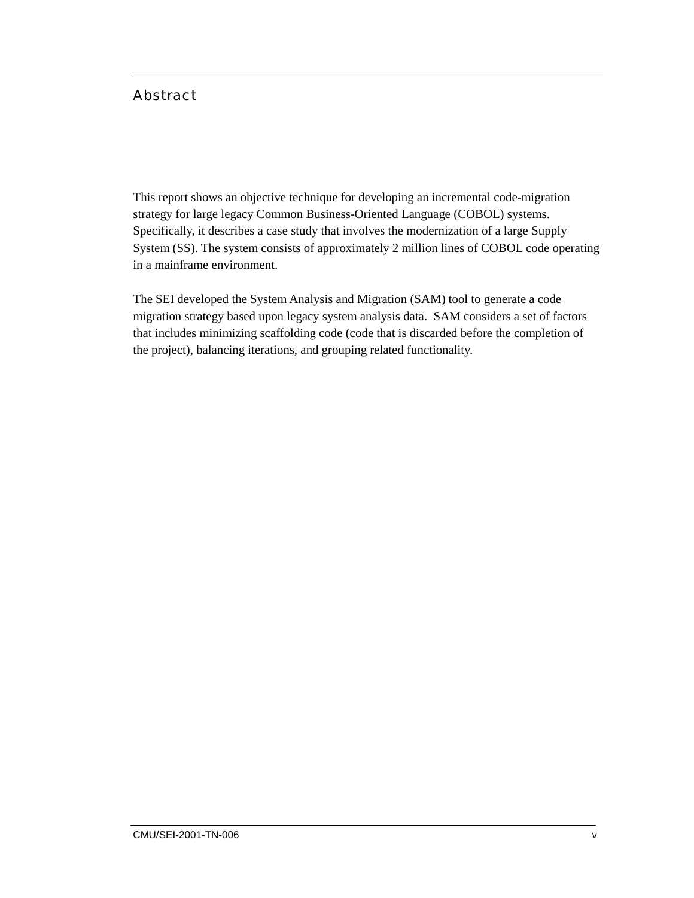#### Abstract

This report shows an objective technique for developing an incremental code-migration strategy for large legacy Common Business-Oriented Language (COBOL) systems. Specifically, it describes a case study that involves the modernization of a large Supply System (SS). The system consists of approximately 2 million lines of COBOL code operating in a mainframe environment.

The SEI developed the System Analysis and Migration (SAM) tool to generate a code migration strategy based upon legacy system analysis data. SAM considers a set of factors that includes minimizing scaffolding code (code that is discarded before the completion of the project), balancing iterations, and grouping related functionality.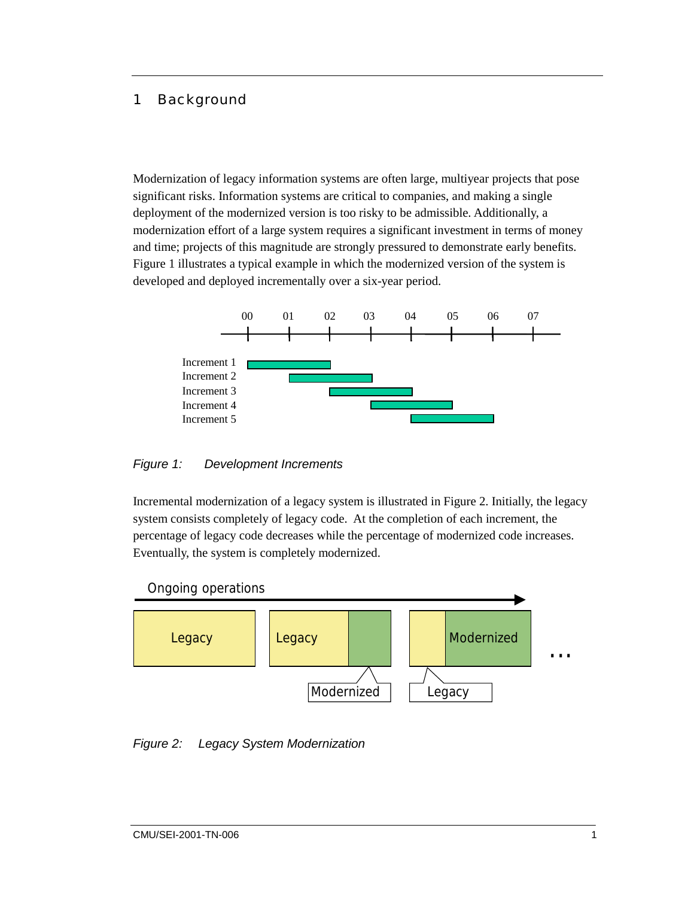#### 1 Background

Modernization of legacy information systems are often large, multiyear projects that pose significant risks. Information systems are critical to companies, and making a single deployment of the modernized version is too risky to be admissible. Additionally, a modernization effort of a large system requires a significant investment in terms of money and time; projects of this magnitude are strongly pressured to demonstrate early benefits. Figure 1 illustrates a typical example in which the modernized version of the system is developed and deployed incrementally over a six-year period.



#### *Figure 1: Development Increments*

Incremental modernization of a legacy system is illustrated in Figure 2. Initially, the legacy system consists completely of legacy code. At the completion of each increment, the percentage of legacy code decreases while the percentage of modernized code increases. Eventually, the system is completely modernized.



#### *Figure 2: Legacy System Modernization*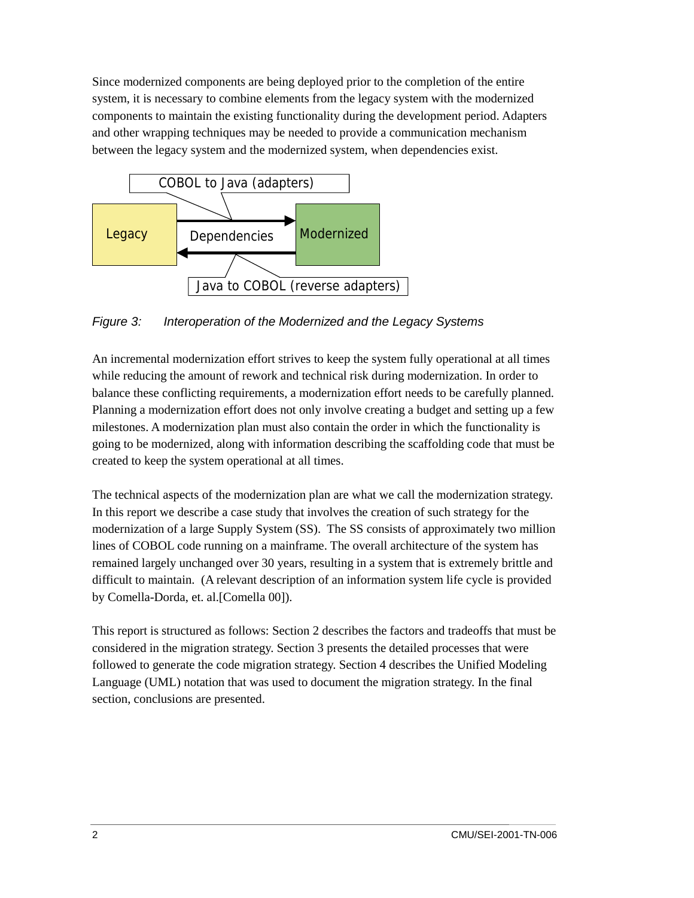Since modernized components are being deployed prior to the completion of the entire system, it is necessary to combine elements from the legacy system with the modernized components to maintain the existing functionality during the development period. Adapters and other wrapping techniques may be needed to provide a communication mechanism between the legacy system and the modernized system, when dependencies exist.



#### *Figure 3: Interoperation of the Modernized and the Legacy Systems*

An incremental modernization effort strives to keep the system fully operational at all times while reducing the amount of rework and technical risk during modernization. In order to balance these conflicting requirements, a modernization effort needs to be carefully planned. Planning a modernization effort does not only involve creating a budget and setting up a few milestones. A modernization plan must also contain the order in which the functionality is going to be modernized, along with information describing the scaffolding code that must be created to keep the system operational at all times.

The technical aspects of the modernization plan are what we call the modernization strategy. In this report we describe a case study that involves the creation of such strategy for the modernization of a large Supply System (SS). The SS consists of approximately two million lines of COBOL code running on a mainframe. The overall architecture of the system has remained largely unchanged over 30 years, resulting in a system that is extremely brittle and difficult to maintain. (A relevant description of an information system life cycle is provided by Comella-Dorda, et. al.[Comella 00]).

This report is structured as follows: Section 2 describes the factors and tradeoffs that must be considered in the migration strategy. Section 3 presents the detailed processes that were followed to generate the code migration strategy. Section 4 describes the Unified Modeling Language (UML) notation that was used to document the migration strategy. In the final section, conclusions are presented.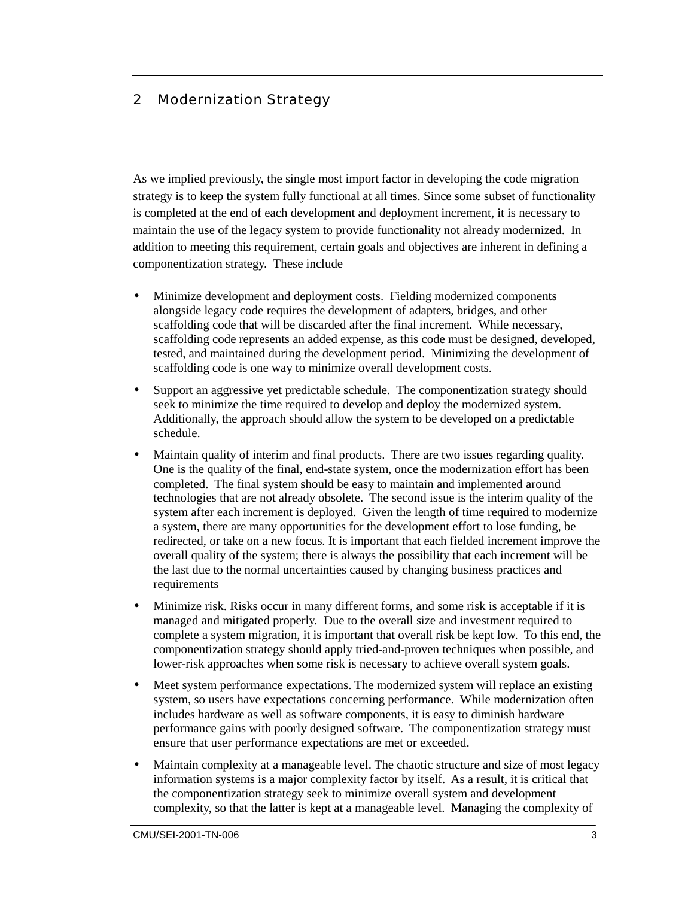#### 2 Modernization Strategy

As we implied previously, the single most import factor in developing the code migration strategy is to keep the system fully functional at all times. Since some subset of functionality is completed at the end of each development and deployment increment, it is necessary to maintain the use of the legacy system to provide functionality not already modernized. In addition to meeting this requirement, certain goals and objectives are inherent in defining a componentization strategy. These include

- Minimize development and deployment costs. Fielding modernized components alongside legacy code requires the development of adapters, bridges, and other scaffolding code that will be discarded after the final increment. While necessary, scaffolding code represents an added expense, as this code must be designed, developed, tested, and maintained during the development period. Minimizing the development of scaffolding code is one way to minimize overall development costs.
- Support an aggressive yet predictable schedule. The componentization strategy should seek to minimize the time required to develop and deploy the modernized system. Additionally, the approach should allow the system to be developed on a predictable schedule.
- Maintain quality of interim and final products. There are two issues regarding quality. One is the quality of the final, end-state system, once the modernization effort has been completed. The final system should be easy to maintain and implemented around technologies that are not already obsolete. The second issue is the interim quality of the system after each increment is deployed. Given the length of time required to modernize a system, there are many opportunities for the development effort to lose funding, be redirected, or take on a new focus. It is important that each fielded increment improve the overall quality of the system; there is always the possibility that each increment will be the last due to the normal uncertainties caused by changing business practices and requirements
- Minimize risk. Risks occur in many different forms, and some risk is acceptable if it is managed and mitigated properly. Due to the overall size and investment required to complete a system migration, it is important that overall risk be kept low. To this end, the componentization strategy should apply tried-and-proven techniques when possible, and lower-risk approaches when some risk is necessary to achieve overall system goals.
- Meet system performance expectations. The modernized system will replace an existing system, so users have expectations concerning performance. While modernization often includes hardware as well as software components, it is easy to diminish hardware performance gains with poorly designed software. The componentization strategy must ensure that user performance expectations are met or exceeded.
- Maintain complexity at a manageable level. The chaotic structure and size of most legacy information systems is a major complexity factor by itself. As a result, it is critical that the componentization strategy seek to minimize overall system and development complexity, so that the latter is kept at a manageable level. Managing the complexity of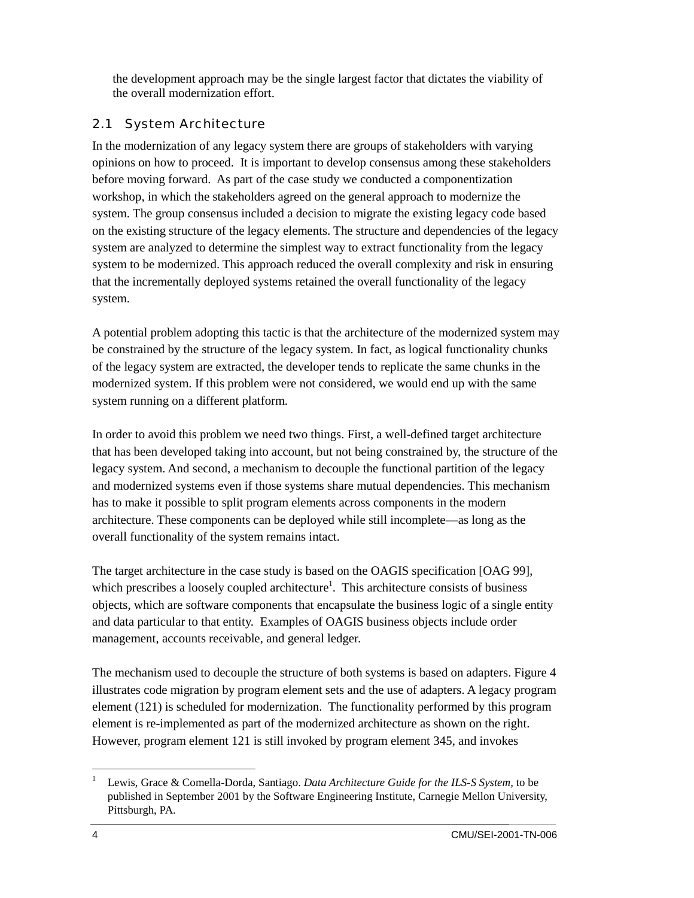the development approach may be the single largest factor that dictates the viability of the overall modernization effort.

#### 2.1 System Architecture

In the modernization of any legacy system there are groups of stakeholders with varying opinions on how to proceed. It is important to develop consensus among these stakeholders before moving forward. As part of the case study we conducted a componentization workshop, in which the stakeholders agreed on the general approach to modernize the system. The group consensus included a decision to migrate the existing legacy code based on the existing structure of the legacy elements. The structure and dependencies of the legacy system are analyzed to determine the simplest way to extract functionality from the legacy system to be modernized. This approach reduced the overall complexity and risk in ensuring that the incrementally deployed systems retained the overall functionality of the legacy system.

A potential problem adopting this tactic is that the architecture of the modernized system may be constrained by the structure of the legacy system. In fact, as logical functionality chunks of the legacy system are extracted, the developer tends to replicate the same chunks in the modernized system. If this problem were not considered, we would end up with the same system running on a different platform.

In order to avoid this problem we need two things. First, a well-defined target architecture that has been developed taking into account, but not being constrained by, the structure of the legacy system. And second, a mechanism to decouple the functional partition of the legacy and modernized systems even if those systems share mutual dependencies. This mechanism has to make it possible to split program elements across components in the modern architecture. These components can be deployed while still incomplete—as long as the overall functionality of the system remains intact.

The target architecture in the case study is based on the OAGIS specification [OAG 99], which prescribes a loosely coupled architecture<sup>1</sup>. This architecture consists of business objects, which are software components that encapsulate the business logic of a single entity and data particular to that entity. Examples of OAGIS business objects include order management, accounts receivable, and general ledger.

The mechanism used to decouple the structure of both systems is based on adapters. Figure 4 illustrates code migration by program element sets and the use of adapters. A legacy program element (121) is scheduled for modernization. The functionality performed by this program element is re-implemented as part of the modernized architecture as shown on the right. However, program element 121 is still invoked by program element 345, and invokes

 $\overline{a}$ 1 Lewis, Grace & Comella-Dorda, Santiago. *Data Architecture Guide for the ILS-S System,* to be published in September 2001 by the Software Engineering Institute, Carnegie Mellon University, Pittsburgh, PA.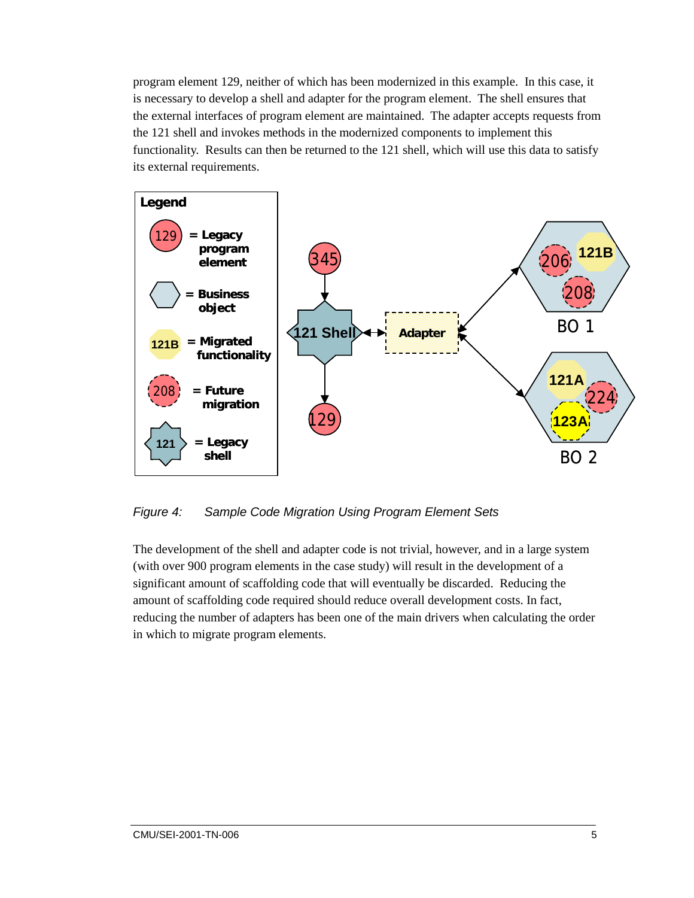program element 129, neither of which has been modernized in this example. In this case, it is necessary to develop a shell and adapter for the program element. The shell ensures that the external interfaces of program element are maintained. The adapter accepts requests from the 121 shell and invokes methods in the modernized components to implement this functionality. Results can then be returned to the 121 shell, which will use this data to satisfy its external requirements.



*Figure 4: Sample Code Migration Using Program Element Sets*

The development of the shell and adapter code is not trivial, however, and in a large system (with over 900 program elements in the case study) will result in the development of a significant amount of scaffolding code that will eventually be discarded. Reducing the amount of scaffolding code required should reduce overall development costs. In fact, reducing the number of adapters has been one of the main drivers when calculating the order in which to migrate program elements.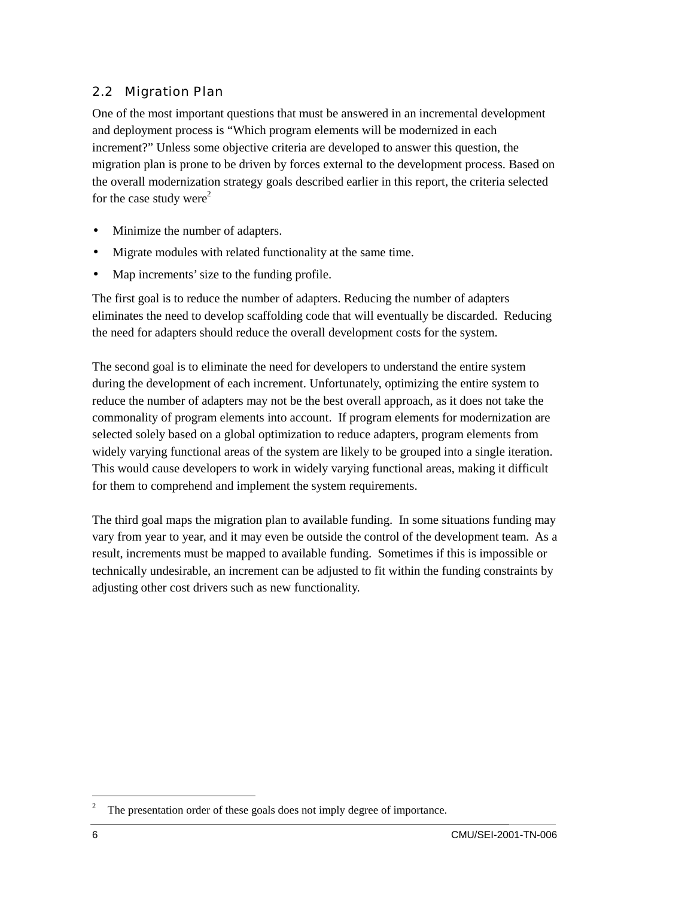#### 2.2 Migration Plan

One of the most important questions that must be answered in an incremental development and deployment process is "Which program elements will be modernized in each increment?" Unless some objective criteria are developed to answer this question, the migration plan is prone to be driven by forces external to the development process. Based on the overall modernization strategy goals described earlier in this report, the criteria selected for the case study were<sup>2</sup>

- Minimize the number of adapters.
- Migrate modules with related functionality at the same time.
- Map increments' size to the funding profile.

The first goal is to reduce the number of adapters. Reducing the number of adapters eliminates the need to develop scaffolding code that will eventually be discarded. Reducing the need for adapters should reduce the overall development costs for the system.

The second goal is to eliminate the need for developers to understand the entire system during the development of each increment. Unfortunately, optimizing the entire system to reduce the number of adapters may not be the best overall approach, as it does not take the commonality of program elements into account. If program elements for modernization are selected solely based on a global optimization to reduce adapters, program elements from widely varying functional areas of the system are likely to be grouped into a single iteration. This would cause developers to work in widely varying functional areas, making it difficult for them to comprehend and implement the system requirements.

The third goal maps the migration plan to available funding. In some situations funding may vary from year to year, and it may even be outside the control of the development team. As a result, increments must be mapped to available funding. Sometimes if this is impossible or technically undesirable, an increment can be adjusted to fit within the funding constraints by adjusting other cost drivers such as new functionality.

 $\overline{a}$ 

<sup>&</sup>lt;sup>2</sup> The presentation order of these goals does not imply degree of importance.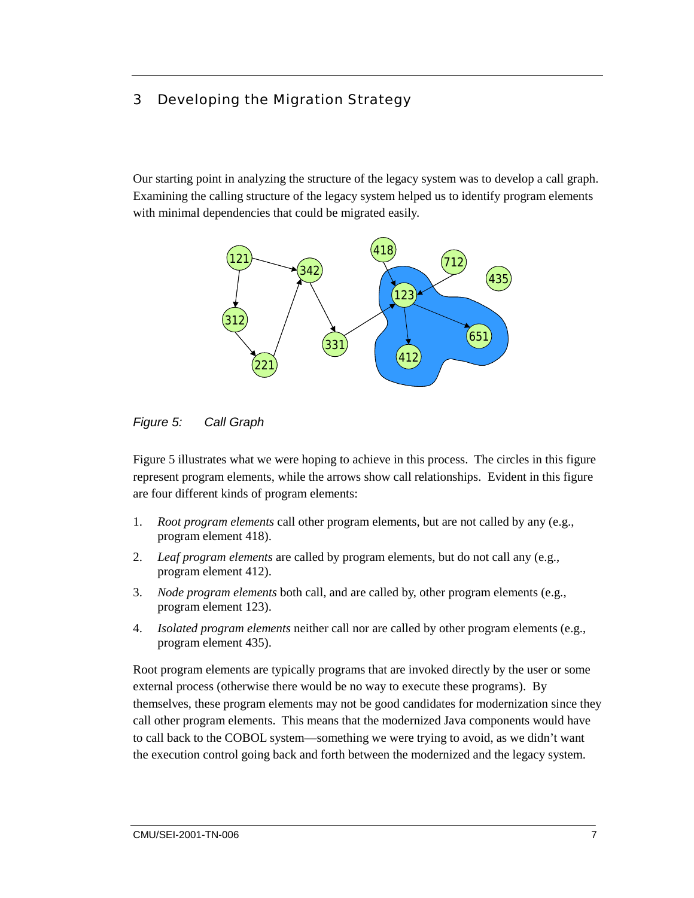#### 3 Developing the Migration Strategy

Our starting point in analyzing the structure of the legacy system was to develop a call graph. Examining the calling structure of the legacy system helped us to identify program elements with minimal dependencies that could be migrated easily.





Figure 5 illustrates what we were hoping to achieve in this process. The circles in this figure represent program elements, while the arrows show call relationships. Evident in this figure are four different kinds of program elements:

- 1. *Root program elements* call other program elements, but are not called by any (e.g., program element 418).
- 2. *Leaf program elements* are called by program elements, but do not call any (e.g., program element 412).
- 3. *Node program elements* both call, and are called by, other program elements (e.g., program element 123).
- 4. *Isolated program elements* neither call nor are called by other program elements (e.g., program element 435).

Root program elements are typically programs that are invoked directly by the user or some external process (otherwise there would be no way to execute these programs). By themselves, these program elements may not be good candidates for modernization since they call other program elements. This means that the modernized Java components would have to call back to the COBOL system—something we were trying to avoid, as we didn't want the execution control going back and forth between the modernized and the legacy system.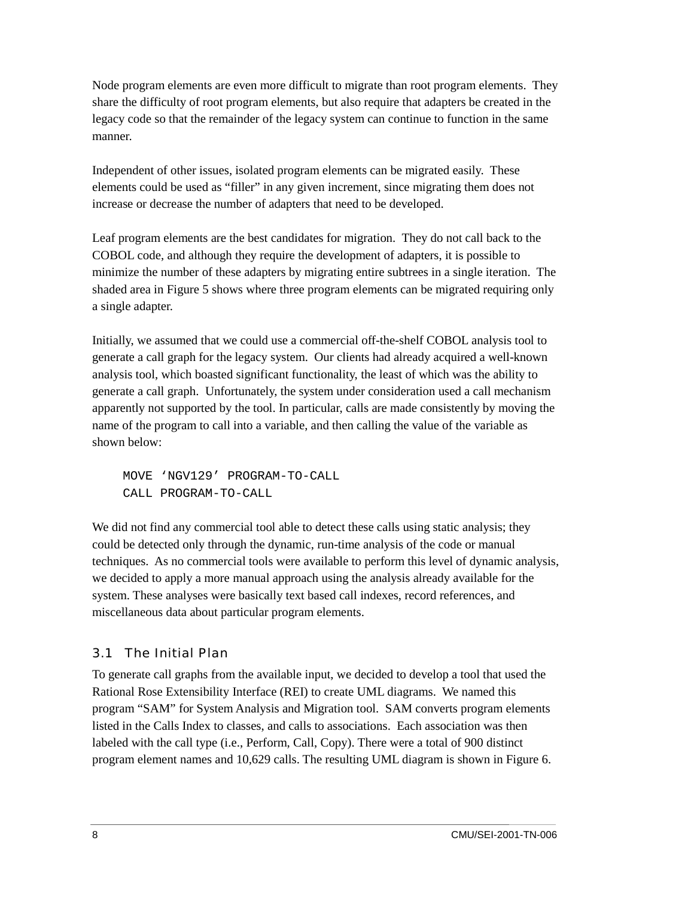Node program elements are even more difficult to migrate than root program elements. They share the difficulty of root program elements, but also require that adapters be created in the legacy code so that the remainder of the legacy system can continue to function in the same manner.

Independent of other issues, isolated program elements can be migrated easily. These elements could be used as "filler" in any given increment, since migrating them does not increase or decrease the number of adapters that need to be developed.

Leaf program elements are the best candidates for migration. They do not call back to the COBOL code, and although they require the development of adapters, it is possible to minimize the number of these adapters by migrating entire subtrees in a single iteration. The shaded area in Figure 5 shows where three program elements can be migrated requiring only a single adapter.

Initially, we assumed that we could use a commercial off-the-shelf COBOL analysis tool to generate a call graph for the legacy system. Our clients had already acquired a well-known analysis tool, which boasted significant functionality, the least of which was the ability to generate a call graph. Unfortunately, the system under consideration used a call mechanism apparently not supported by the tool. In particular, calls are made consistently by moving the name of the program to call into a variable, and then calling the value of the variable as shown below:

```
MOVE 'NGV129' PROGRAM-TO-CALL
CALL PROGRAM-TO-CALL
```
We did not find any commercial tool able to detect these calls using static analysis; they could be detected only through the dynamic, run-time analysis of the code or manual techniques. As no commercial tools were available to perform this level of dynamic analysis, we decided to apply a more manual approach using the analysis already available for the system. These analyses were basically text based call indexes, record references, and miscellaneous data about particular program elements.

#### 3.1 The Initial Plan

To generate call graphs from the available input, we decided to develop a tool that used the Rational Rose Extensibility Interface (REI) to create UML diagrams. We named this program "SAM" for System Analysis and Migration tool. SAM converts program elements listed in the Calls Index to classes, and calls to associations. Each association was then labeled with the call type (i.e., Perform, Call, Copy). There were a total of 900 distinct program element names and 10,629 calls. The resulting UML diagram is shown in Figure 6.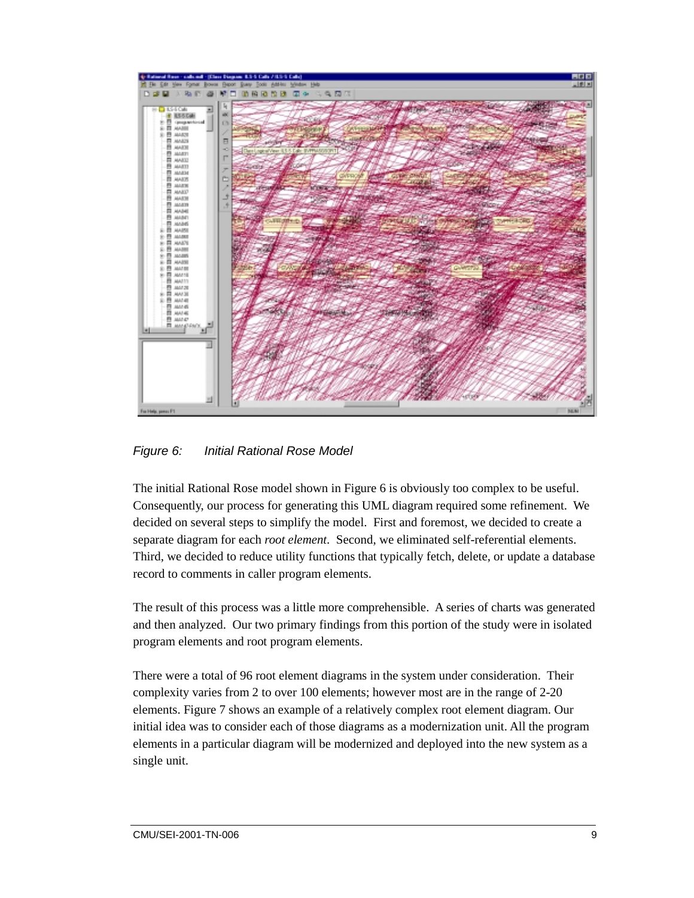

*Figure 6: Initial Rational Rose Model*

The initial Rational Rose model shown in Figure 6 is obviously too complex to be useful. Consequently, our process for generating this UML diagram required some refinement. We decided on several steps to simplify the model. First and foremost, we decided to create a separate diagram for each *root element*. Second, we eliminated self-referential elements. Third, we decided to reduce utility functions that typically fetch, delete, or update a database record to comments in caller program elements.

The result of this process was a little more comprehensible. A series of charts was generated and then analyzed. Our two primary findings from this portion of the study were in isolated program elements and root program elements.

There were a total of 96 root element diagrams in the system under consideration. Their complexity varies from 2 to over 100 elements; however most are in the range of 2-20 elements. Figure 7 shows an example of a relatively complex root element diagram. Our initial idea was to consider each of those diagrams as a modernization unit. All the program elements in a particular diagram will be modernized and deployed into the new system as a single unit.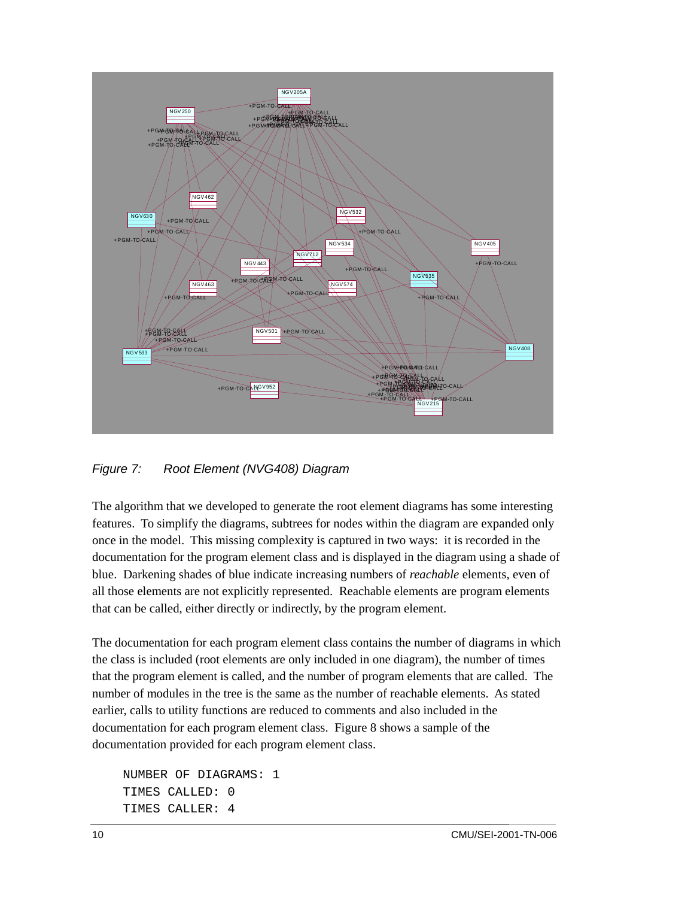

*Figure 7: Root Element (NVG408) Diagram*

The algorithm that we developed to generate the root element diagrams has some interesting features. To simplify the diagrams, subtrees for nodes within the diagram are expanded only once in the model. This missing complexity is captured in two ways: it is recorded in the documentation for the program element class and is displayed in the diagram using a shade of blue. Darkening shades of blue indicate increasing numbers of *reachable* elements, even of all those elements are not explicitly represented. Reachable elements are program elements that can be called, either directly or indirectly, by the program element.

The documentation for each program element class contains the number of diagrams in which the class is included (root elements are only included in one diagram), the number of times that the program element is called, and the number of program elements that are called. The number of modules in the tree is the same as the number of reachable elements. As stated earlier, calls to utility functions are reduced to comments and also included in the documentation for each program element class. Figure 8 shows a sample of the documentation provided for each program element class.

```
NUMBER OF DIAGRAMS: 1
TIMES CALLED: 0
TIMES CALLER: 4
```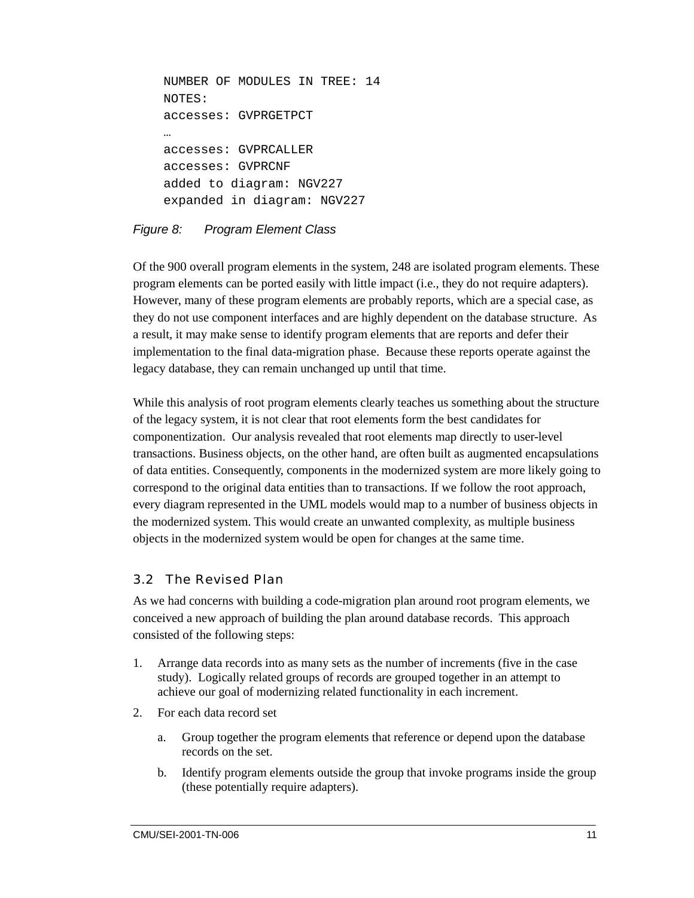```
NUMBER OF MODULES IN TREE: 14
NOTES:
accesses: GVPRGETPCT
…
accesses: GVPRCALLER
accesses: GVPRCNF
added to diagram: NGV227
expanded in diagram: NGV227
```
#### *Figure 8: Program Element Class*

Of the 900 overall program elements in the system, 248 are isolated program elements. These program elements can be ported easily with little impact (i.e., they do not require adapters). However, many of these program elements are probably reports, which are a special case, as they do not use component interfaces and are highly dependent on the database structure. As a result, it may make sense to identify program elements that are reports and defer their implementation to the final data-migration phase. Because these reports operate against the legacy database, they can remain unchanged up until that time.

While this analysis of root program elements clearly teaches us something about the structure of the legacy system, it is not clear that root elements form the best candidates for componentization. Our analysis revealed that root elements map directly to user-level transactions. Business objects, on the other hand, are often built as augmented encapsulations of data entities. Consequently, components in the modernized system are more likely going to correspond to the original data entities than to transactions. If we follow the root approach, every diagram represented in the UML models would map to a number of business objects in the modernized system. This would create an unwanted complexity, as multiple business objects in the modernized system would be open for changes at the same time.

#### 3.2 The Revised Plan

As we had concerns with building a code-migration plan around root program elements, we conceived a new approach of building the plan around database records. This approach consisted of the following steps:

- 1. Arrange data records into as many sets as the number of increments (five in the case study). Logically related groups of records are grouped together in an attempt to achieve our goal of modernizing related functionality in each increment.
- 2. For each data record set
	- a. Group together the program elements that reference or depend upon the database records on the set.
	- b. Identify program elements outside the group that invoke programs inside the group (these potentially require adapters).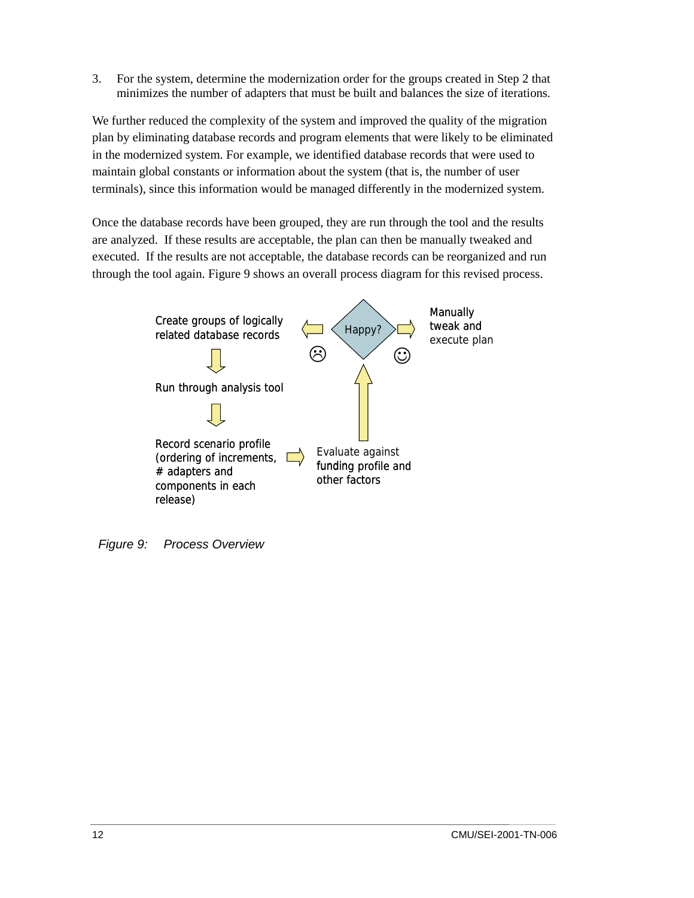3. For the system, determine the modernization order for the groups created in Step 2 that minimizes the number of adapters that must be built and balances the size of iterations.

We further reduced the complexity of the system and improved the quality of the migration plan by eliminating database records and program elements that were likely to be eliminated in the modernized system. For example, we identified database records that were used to maintain global constants or information about the system (that is, the number of user terminals), since this information would be managed differently in the modernized system.

Once the database records have been grouped, they are run through the tool and the results are analyzed. If these results are acceptable, the plan can then be manually tweaked and executed. If the results are not acceptable, the database records can be reorganized and run through the tool again. Figure 9 shows an overall process diagram for this revised process.



*Figure 9: Process Overview*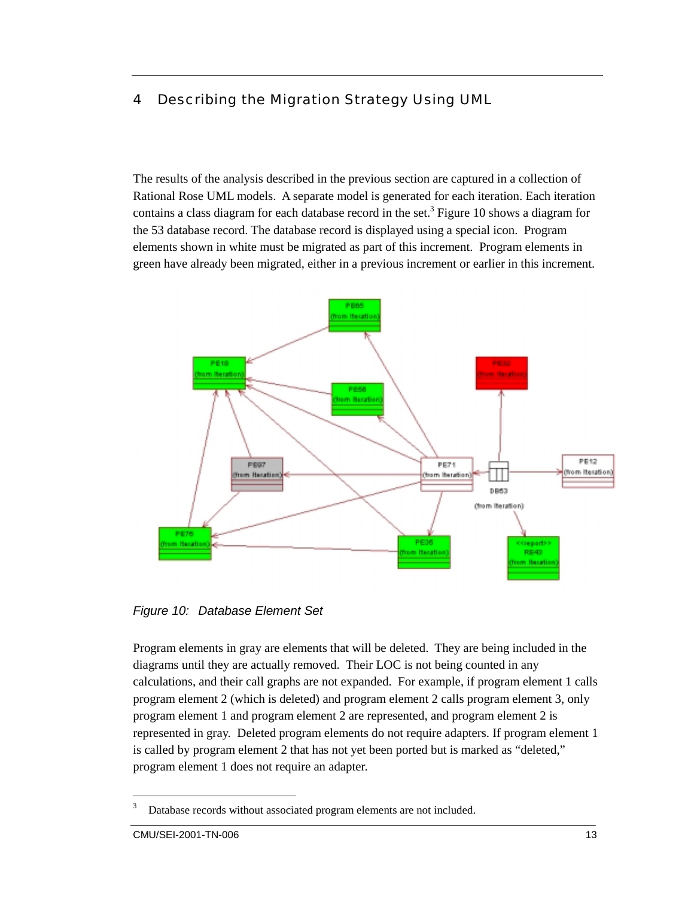#### 4 Describing the Migration Strategy Using UML

The results of the analysis described in the previous section are captured in a collection of Rational Rose UML models. A separate model is generated for each iteration. Each iteration contains a class diagram for each database record in the set.<sup>3</sup> Figure 10 shows a diagram for the 53 database record. The database record is displayed using a special icon. Program elements shown in white must be migrated as part of this increment. Program elements in green have already been migrated, either in a previous increment or earlier in this increment.



*Figure 10: Database Element Set*

Program elements in gray are elements that will be deleted. They are being included in the diagrams until they are actually removed. Their LOC is not being counted in any calculations, and their call graphs are not expanded. For example, if program element 1 calls program element 2 (which is deleted) and program element 2 calls program element 3, only program element 1 and program element 2 are represented, and program element 2 is represented in gray. Deleted program elements do not require adapters. If program element 1 is called by program element 2 that has not yet been ported but is marked as "deleted," program element 1 does not require an adapter.

 $\overline{a}$ 

<sup>3</sup> Database records without associated program elements are not included.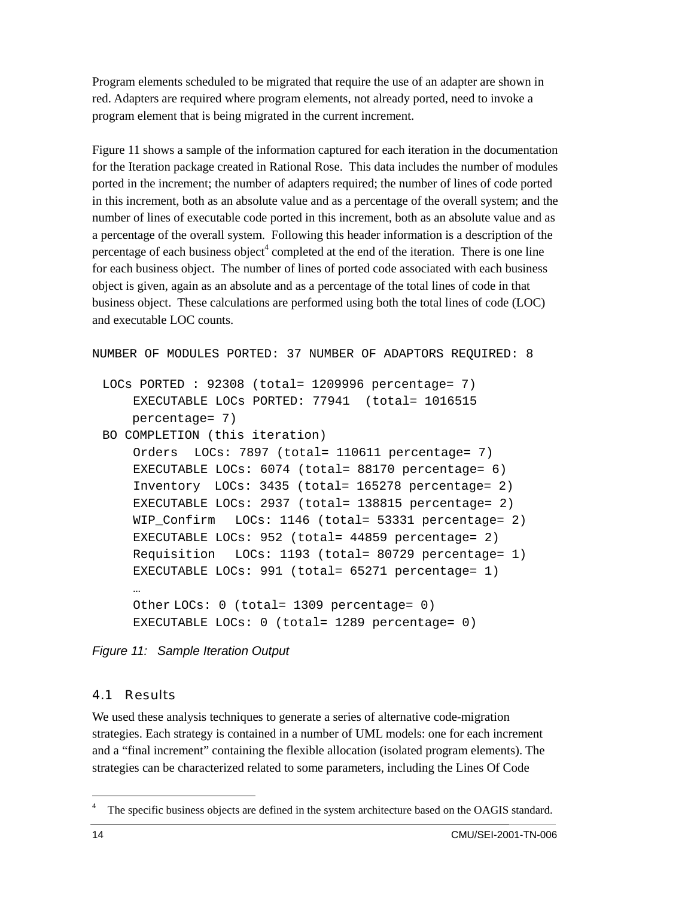Program elements scheduled to be migrated that require the use of an adapter are shown in red. Adapters are required where program elements, not already ported, need to invoke a program element that is being migrated in the current increment.

Figure 11 shows a sample of the information captured for each iteration in the documentation for the Iteration package created in Rational Rose. This data includes the number of modules ported in the increment; the number of adapters required; the number of lines of code ported in this increment, both as an absolute value and as a percentage of the overall system; and the number of lines of executable code ported in this increment, both as an absolute value and as a percentage of the overall system. Following this header information is a description of the percentage of each business object<sup>4</sup> completed at the end of the iteration. There is one line for each business object. The number of lines of ported code associated with each business object is given, again as an absolute and as a percentage of the total lines of code in that business object. These calculations are performed using both the total lines of code (LOC) and executable LOC counts.

```
NUMBER OF MODULES PORTED: 37 NUMBER OF ADAPTORS REQUIRED: 8
 LOCs PORTED : 92308 (total= 1209996 percentage= 7)
     EXECUTABLE LOCs PORTED: 77941 (total= 1016515
     percentage= 7)
 BO COMPLETION (this iteration)
     Orders LOCs: 7897 (total= 110611 percentage= 7)
     EXECUTABLE LOCs: 6074 (total= 88170 percentage= 6)
     Inventory LOCs: 3435 (total= 165278 percentage= 2)
     EXECUTABLE LOCs: 2937 (total= 138815 percentage= 2)
     WIP Confirm LOCs: 1146 (total= 53331 percentage= 2)
     EXECUTABLE LOCs: 952 (total= 44859 percentage= 2)
     Requisition LOCs: 1193 (total= 80729 percentage= 1)
     EXECUTABLE LOCs: 991 (total= 65271 percentage= 1)
     …
     Other LOCs: 0 (total= 1309 percentage= 0)
     EXECUTABLE LOCs: 0 (total= 1289 percentage= 0)
```

```
Figure 11: Sample Iteration Output
```
#### 4.1 Results

We used these analysis techniques to generate a series of alternative code-migration strategies. Each strategy is contained in a number of UML models: one for each increment and a "final increment" containing the flexible allocation (isolated program elements). The strategies can be characterized related to some parameters, including the Lines Of Code

 $\overline{a}$ 

<sup>4</sup> The specific business objects are defined in the system architecture based on the OAGIS standard.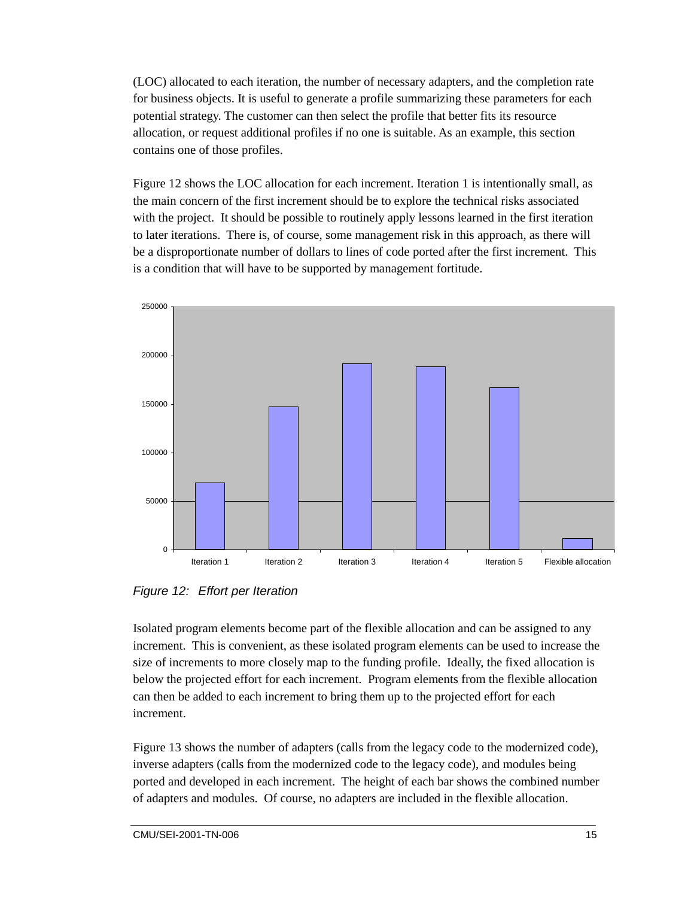(LOC) allocated to each iteration, the number of necessary adapters, and the completion rate for business objects. It is useful to generate a profile summarizing these parameters for each potential strategy. The customer can then select the profile that better fits its resource allocation, or request additional profiles if no one is suitable. As an example, this section contains one of those profiles.

Figure 12 shows the LOC allocation for each increment. Iteration 1 is intentionally small, as the main concern of the first increment should be to explore the technical risks associated with the project. It should be possible to routinely apply lessons learned in the first iteration to later iterations. There is, of course, some management risk in this approach, as there will be a disproportionate number of dollars to lines of code ported after the first increment. This is a condition that will have to be supported by management fortitude.



*Figure 12: Effort per Iteration*

Isolated program elements become part of the flexible allocation and can be assigned to any increment. This is convenient, as these isolated program elements can be used to increase the size of increments to more closely map to the funding profile. Ideally, the fixed allocation is below the projected effort for each increment. Program elements from the flexible allocation can then be added to each increment to bring them up to the projected effort for each increment.

Figure 13 shows the number of adapters (calls from the legacy code to the modernized code), inverse adapters (calls from the modernized code to the legacy code), and modules being ported and developed in each increment. The height of each bar shows the combined number of adapters and modules. Of course, no adapters are included in the flexible allocation.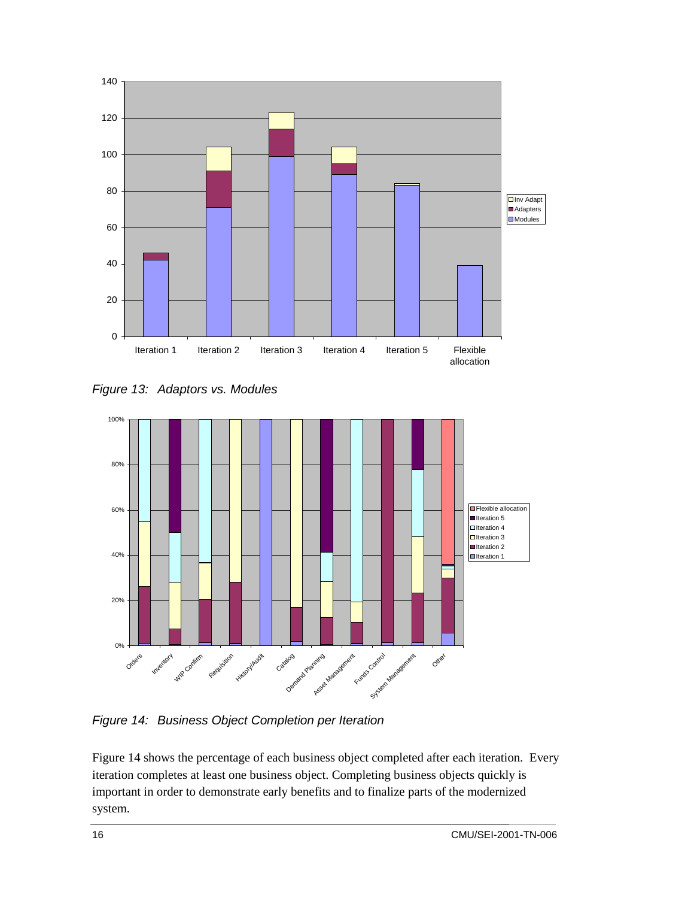

*Figure 13: Adaptors vs. Modules*



*Figure 14: Business Object Completion per Iteration*

Figure 14 shows the percentage of each business object completed after each iteration. Every iteration completes at least one business object. Completing business objects quickly is important in order to demonstrate early benefits and to finalize parts of the modernized system.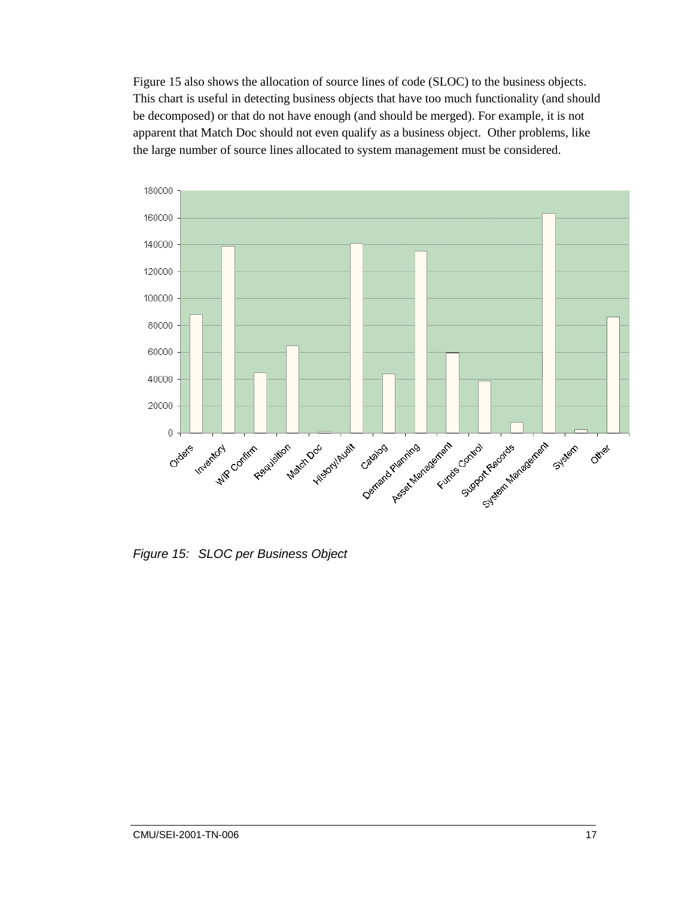Figure 15 also shows the allocation of source lines of code (SLOC) to the business objects. This chart is useful in detecting business objects that have too much functionality (and should be decomposed) or that do not have enough (and should be merged). For example, it is not apparent that Match Doc should not even qualify as a business object. Other problems, like the large number of source lines allocated to system management must be considered.



*Figure 15: SLOC per Business Object*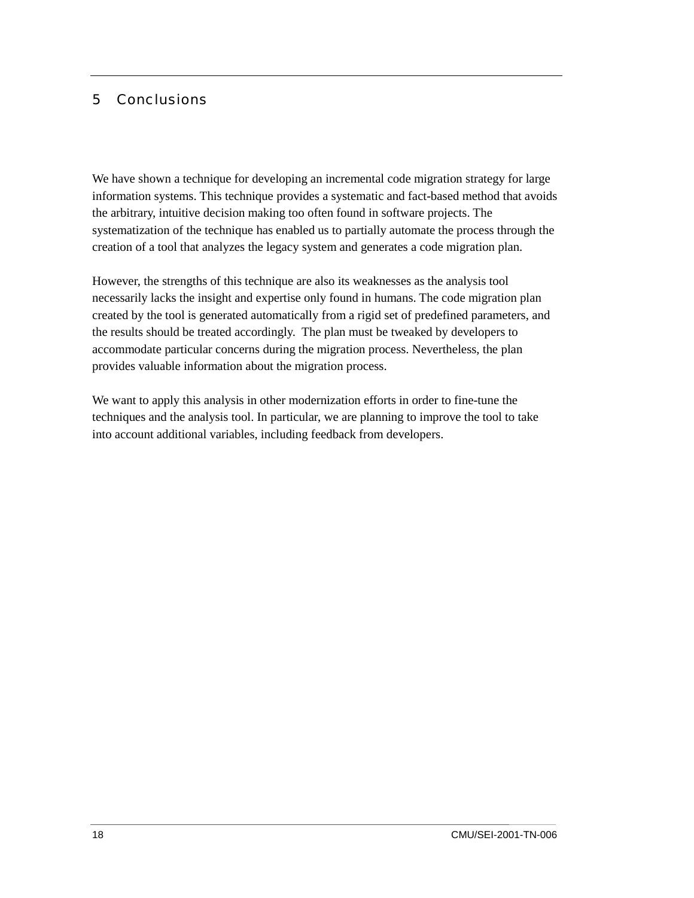#### 5 Conclusions

We have shown a technique for developing an incremental code migration strategy for large information systems. This technique provides a systematic and fact-based method that avoids the arbitrary, intuitive decision making too often found in software projects. The systematization of the technique has enabled us to partially automate the process through the creation of a tool that analyzes the legacy system and generates a code migration plan.

However, the strengths of this technique are also its weaknesses as the analysis tool necessarily lacks the insight and expertise only found in humans. The code migration plan created by the tool is generated automatically from a rigid set of predefined parameters, and the results should be treated accordingly. The plan must be tweaked by developers to accommodate particular concerns during the migration process. Nevertheless, the plan provides valuable information about the migration process.

We want to apply this analysis in other modernization efforts in order to fine-tune the techniques and the analysis tool. In particular, we are planning to improve the tool to take into account additional variables, including feedback from developers.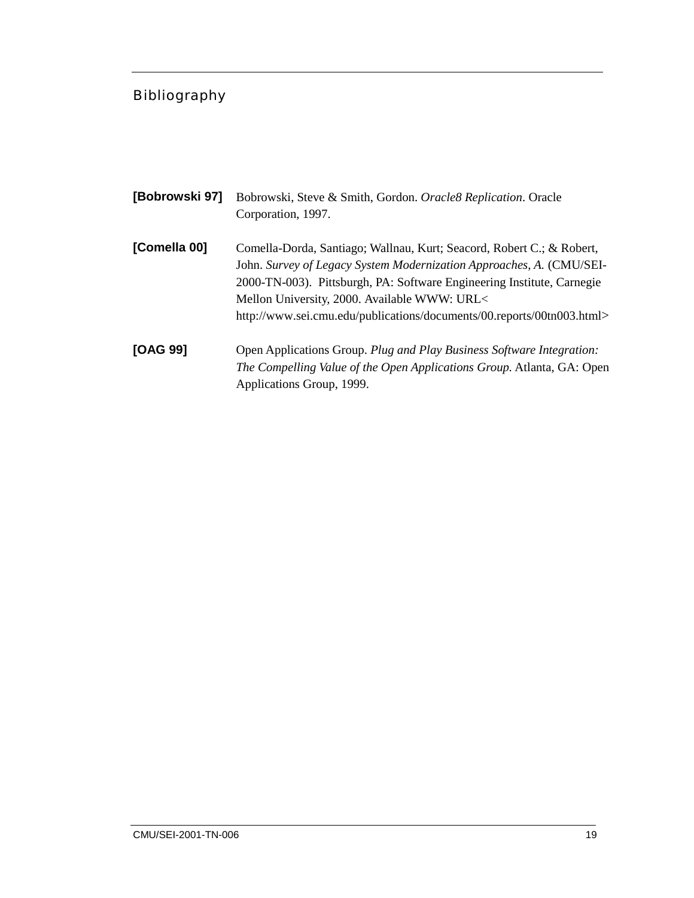## Bibliography

| [Bobrowski 97] | Bobrowski, Steve & Smith, Gordon. Oracle8 Replication. Oracle<br>Corporation, 1997.                                                                                                                                                                                                                                                               |
|----------------|---------------------------------------------------------------------------------------------------------------------------------------------------------------------------------------------------------------------------------------------------------------------------------------------------------------------------------------------------|
| [Comella 00]   | Comella-Dorda, Santiago; Wallnau, Kurt; Seacord, Robert C.; & Robert,<br>John. Survey of Legacy System Modernization Approaches, A. (CMU/SEI-<br>2000-TN-003). Pittsburgh, PA: Software Engineering Institute, Carnegie<br>Mellon University, 2000. Available WWW: URL<<br>http://www.sei.cmu.edu/publications/documents/00.reports/00tn003.html> |
| [OAG 99]       | Open Applications Group. Plug and Play Business Software Integration:<br>The Compelling Value of the Open Applications Group. Atlanta, GA: Open<br>Applications Group, 1999.                                                                                                                                                                      |